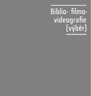# Biblio- filmovideografie (výběr)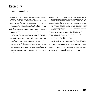### Katalogy

### (řazené chronologicky)

- Cathart, L. (ed.). Vasulka*: Steina: Machine Vision: Woody: Descriptions.* Buffalo (NY): Albright-Knox Art Gallery, 1978.
- *The Vasulkas.* [Pravděpodobně nepublikované poznámky ke katalogu, 80. léta 20. století].
- Eizykman, Claudine; Fihman, Guy; Willoughby, Dominique (eds.). *Steina & Woody Vasulka: Vidéastes, 1969–1984: 15 années d'images électroniques, analogiques et numeriques.* CINE-MBXA/CINEDOC, 1984.
- *Steina Woody Vasulkas: Interaktiivisen Taiteen Näyttely = Exhibition of the interactive art*. Helsinki: Nykytaiteen Museo, Espoo: Galleria Otso, 1992.
- Weibel, Peter; Vasulka, Steina, Woody; Dunn, David (eds.). *Eigenwelt der Apparate-Welt: Pioniere der Electronischen Kunst = Pioneers of Electronic Art*. Linz: Ars Electronica, 1992.
- *Český obraz elektronický: Vnitřní zdroje*. Výstavní síň Mánes 12. 7.–7. 8. 1994, Art video Workshop 12. 7. až 15. 7. 1994. Media archiv Praha. Asociace videa a intermediální tvorby UVU, 1994.
- Gazzano, Marco Maria (ed.). *Steina e Woody Vasulka: Video, Media e Nuove Immagini nell'Arte Contemporanea*. Rome: Fahrenheit 451, 1995.
- Sturken, Marita. Explorando la Fenomenologia dell'Immagine Elettronica = Exploring the Phenomenology of the Electronic Image. In Gazzano, Marco Maria (ed.). *Steina e Woody Vasulka: Video, Media e Nuove Immagini nell'Arte Contemporanea*. Rome: Fahrenheit 451, 1995.
- Sturken, M. (ed.). *Steina and Woody Vasulka: Machine Media*. San Francisco: Museum of Modern Art, 1996, katalog publikovaný u příležitosti stejnojmenné výstavy v San Francisco Museum of Modern Art, 2. 2.–31. 3. 1996.
- Sturken, M. Steina and Woody Vasulka: In Dialogue with the Machine. In Sturken, M. (ed.). *Steina and Woody Vasulka: Machine Media*. San Francisco: Museum of Modern Art, 1996, katalog publikovaný u příležitosti stejnojmenné výstavy v San Francisco Museum of Modern Art, 2. 2.–31. 3. 1996.
- *Steina Vasulka: Instalace*. Praha, 24. 1.–23. 2. 1997, texty S. Vasulka, Robert R. Riley, M. Sturken. Praha: Národní galerie, 1997.
- *Steina & Woody Vasulka: Video Works.* ICC Collection, Tokyo: NTT InterCommunication Center, 1998.
- *The Brotherhood: A Series of Six Interactive Media Constructions*. Tokyo: NTT InterCommunication Center, 1998.
- Rohan, René (ed.). *LANTERNA MAGIKA, nouvelles technologies dans l'art tchèque du 20e siècle = new technologies in Czech art of the 20th century.* Kant, 2002.
- Baig-Clifford, Yasmeen (ed.). *Vasulka Lab 1969–2005: Live Archive*. Vivid, 2006.
- Vasulka, W.; Weibel, P. (eds.). *Buffalo Heads: Media Study, Media Practice, Media Pioneers, 1973–1990*. The MIT Press, 2008.
- Zavistovski, Katia. *Steina: 1970–2000.* SITE Santa Fe, 2008.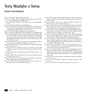### Texty Woodyho a Steiny

### (řazené chronologicky)

- Vasulka, W.; Steina. *Studios*. [Nepublikované].
- Vasulka, W.; Steina. *Early: Description of beginning of early Kitchen; 1971–1973*. [Nedatované, nepublikované].
- Vasulka, W.; Steina. *Welcome to the Kitchen (June 1971)*. [Nepublikované].
- Vasulka, W. *Frame*. [Nedatované, nepublikované].
- Vasulka, W. *Technocentric Determinism*. [Nedatované, opatřené poznámkou revised June 1993]. Publikované později pod názvem Technocentrický determinismus. *Iluminace*. 2006, roč. 18, č. 2.
- Vasulka, W. *Talk in Chicago*. [Nedatované, nepublikované].
- Vasulka, W. *The Custodian of the Process*. [Nedatované, nepublikované].
- Vasulka, W.Media Study Lectures. Přepis pěti přednášek Woodyho z Media Study, Buffalo, 1976. [verze 8/13/07]. Upravený text byl publikován pod názvem Five Lectures In Vasulka, W.; Weibel, P. (eds.). *Buffalo Heads: Media Study, Media Practice, Media Pioneers, 1973–1990*. The MIT Press, 2008.
- Vasulka, W.; Nygren, S. 1975. Didactic Video: Organizational models of the electronic image. *Afterimage*. Říjen 1975, roč. 3, č. 4.
- Vasulka, W. Time/Energy Structure of the Electronic Image. *Afterimage*. Říjen 1975, roč. 3, č. 4.
- Vasulka, W.; Schier, J.; Moxton, Tom. *The articulator manual*. [Nepublikovaný technický manuál pro Digital Image Articulator, kolem r. 1979].
- Vasulka, S. 1985. Notes on Switch! Monitor! Drift! *Field of Vision*. Jaro 1985, č. 13.
- Vasulka, S. 1985b. My Love Affair with Art: Video and Installation Work. *Leonardo*. 1995, roč. 28, č. 1.
- Vasulka, W. 1989. *The New Epistemic Space.* [Opatřeno poznámkou March, May 1989, Santa Fe, nepublikováno].
- Dunn, D.; Vasulka, W. 1990. *Digital Space: A Research Proposal*. Ars Electronica '90, Linz: Ars Electronica, 1990.
- Vasulka, Woody. 1990. The New Epistemic Space. In Hall, Doug; Fifer, Sally Jo (eds.). *Illuminating Video: An Essential Guide to Video Art*. Aperture, 1990.
- Dunn, D.; Vasulka, W. 1990. *The Theater of Hybrid Automata*. Ars Electronica '90, Linz: Ars Electronica, 1990.
- Vasulka, W. 1992. Toward a Non-Centric Narrative Space. In Gazzano, Marco Maria (ed.). *Steina e Woody Vasulka: Video, Media e Nuove Immagini nell'Arte Contemporanea*. Rome: Fahrenheit 451, 1995.
- Vasulka, W. 1996. Notes on Installations: From Printed Matter to Noncentric Space. In Sturken, M. *Steina and Woody Vasulka, Machine Media.* San Francisco Museum of Modern Art, 1996.
- Vasulka, S. 1995. Pensieri/Reflections. In Gazzano, Marco Maria (ed.). *Steina e Woody Vasulka: Video, Media e Nuove Immagini nell'Arte Contemporanea*. Katalog výstavy, Rome: Fahrenheit 451, 1995.
- Vasulka, W. 1998. A Lecture delivered at NTT InterCommunication Center, Tokyo, September 13, 1998. In Vasulka, W.; Weibel, P. (eds.). *Buffalo Heads: Media Study, Media Practice, Media Pioneers, 1973–1990*. The MIT Press, 2008.
- Vasulka, W. 2002. *Articulations in Binary Code: Recollections.* A plenary lecture by Woody Vasulka, 4. 4. 2002, New Collaborations/Electronic Intersections Conference, Alfred University.
- Vasulka, S. 2003. My love affaire with art: video and installation work. In Malloy, Judy (ed.). *Women, art, and technology*. MIT Press, 2003. Publikované také In Vasulka, W.; Weibel, P. (eds.). *Buffalo Heads: Media Study, Media Practice, Media Pioneers, 1973–1990*. The MIT Press, 2008.
- Vasulka, S. 2006. On Improvisation. *Contemporary Music Review*. Říjen 2006, roč. 25, č. 5.
- Vasulka, W. 2006a. Divadlo hybridních automatů. *Iluminace*. 2006, roč. 18, č. 2.
- Vasulka, W. 2006b. The Commission. *Iluminace*. 2006, roč. 18, č. 2.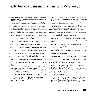### Texty teoretiků, inženýrů a umělců o Vasulkových

- Albertini, Rosanna. *Technological Rituals: Stories from the Annenberg Dialogues.* University of Southern California, Annenberg Center for Communication, 1999.
- Ashley, Robert. Beginning of a Movement. In Morrisey, L. (ed.). *The Kitchen Turns Twenty: A Retrospective Anthology*. The Kitchen, New York, 1992.
- Beck, Stephen. Image Processing and Video Synthesis. Electronic Videographic Techniques. 1975. In *Eigenwelt der Apparate-Welt: Pioniere der Electronischen Kunst = Pioneers of Electronic Art*. Linz: Ars Electronica, 1992.
- BONITO OLIVA, A. Strategie dell'Arte surgelare un Tempo Migliore (dedicato ai Vasulka) = Strategies of Art freeze the good Times of the Past (dedicated to the Vasulkas). In Gazzano, M.M. (ed.). *Steina e Woody Vasulka: Video, Media e Nuove Immagini nell'Arte Contemporanea*. Katalog výstavy, Rome: Fahrenheit 451, 1995.
- BELLOUR, R. The Images of the World. In RENOV, M.; SUDENBURG, E. *Resolutions: Contemporary Video Practices*. University of Minnesota Press, 1995.
- Dolanová, Lenka. Co to tam vařili? Kuchaři, jejich Kitchen a chuť čerstvého videa. *Iluminace*. 2006, roč. 18, č. 2.
- Dolanová, L. (ed.). *Virtuální houbaření* [DVD]. Praha: Národní filmový archiv, 2006.
- Furlong, Lucinda. State of the Art Scan: The Ithaca Video Festival. *Afterimage*. 1982, Visual Studies Workshop, Rochester.
- Furlong, L. Notes Toward a History of Image-Processed Video: Steina and Woody Vasulka. *Afterimage*. 1984, roč. 11, č. 5.
- Furlong, L. Tracking Video Art: 'Image Processing' as a Genre. *Art Journal*. Podzim 1985, roč. 45.
- Gagnon, Jean. A demo tape on how to play the violin. *Art Journal*. Podzim 2006, roč. 65, č. 3.
- Gill, J. *Video State of the Art.*. Brown University, 1976. Dizertační práce (PhD.). [Publikováno: New York: The Rockefeller Foundation, 1976].
- Hagen, Ch. Breaking the Box: The Electronic Operas of Robert Ashley and Woody Vasulka. *Artforum*. Březen 1985, roč. 23, č. 7.
- Haller, Robert A. *Crossroads: Avant-Garde Film in Pittsburgh in the 1970s.* Anthology Film Archives, 2005.
- Haller, R. A. *Galaxy: Avant-Garde Film-Makers Look Across Space and Time = Des Cinéastes D'Avant-Garde Regardent À Travers L'Espace et le Temps.* Katalog, 4.–7. 9. 2001, Anthology Film Archives, 2001.
- Haller, R. Steina and Woody Vasulka. In Shaw, J.; Weibel, P. (eds.). *Future Cinema: The Cinematographic Imagery after Film*. Cambridge (Mass): MIT Press, 2003.
- Hill, Ch. (ed.). *Rewind: Video Art and Alternative Media in the United States 1968–1980*. Video Data Bank, The Art Institute of Chicago, 1998.
- Janeček, Vít. A my jsme byli modernisti: Moravské a české počátky Woodyho Vasulky. *Iluminace*. 2006, roč. 18, č. 2.
- Miller Hocking, S. 1976. *Two Texts Concerning Portable Video.* 1992. [online]. [cit. 21. 6. 2011]. Dostupné na <http://www. experimentaltvcenter.org/history/tools/ttext.php3?id=20&page=1>.
- Miller Hocking, S. 1983. Electronic Video Image Processing: Notes Towards a Definition. *exposure: New Technology*. 1983, roč. 21, č. 1.
- Minkowsky, J. Some Notes on Vasulka Video, 1973–1974. Text programových poznámek, napsaný pro putovní výstavu videopásek roku 1978. V češtině publikován In *Iluminace*. 2006, roč. 18, č. 2.
- O'Grady, G. 1982. State University of New York at Buffalo Center for Media Study. In Vasulka, W.; Weibel, P. (eds.). *Buffalo Heads: Media Study, Media Practice, Media Pioneers, 1973–1990*. The MIT Press, 2008.
- O'Grady, G. 1990. Hallelujah For Prague: An American Orbis Picta. In Černý, O.; O'Grady, G. (eds.). *The Banned and the Beautiful: A Survey of Czech Filmmaking, 1963–1990*. The Public Theatre, New York, June 15 – July 5, 1990.
- O'Grady, G. 1996. The Historic Role of Czechs in the International Media Arts. In Hlaváček, L.; Smolíková, M. (eds.). *Orbis Fictus: New Media in Contemporary Arts*. Katalog výstavy. Soros Center for Contemporary Arts, Prague, 1996.
- O'Grady, G. 2006. Sférické poznání Woodyho Vasulky: Od dírkové kamery k otvorům v pinballu. Překlad Ivan Vomáčka. *Iluminace*. 2006, roč. 18, č. 2.
- Pilař, Radek. Steina a Woody Vasulka objevitelé nových světů. *Video revue*. 1993, roč. 2, č. 2.
- PORTIS, Ben. *The Vasulkas and The Kitchen*. [Nepublikované].
- Portis, B. *Essay on The Kitchen*, leden 1992. [online] [cit. 21. 6. 2011]. Přístupné na <http://www.experimentaltvcenter.org/history/groups/ gtext.php3?id=92#Essay\_on\_The\_Kitchen>.
- Scott, Andrea K. *From Dematerialized to Rematerialized: The Kitchen's Media Preservation Program*. National Alliance for Media Arts & Culture: A Closer Look, 2002.
- Schier, Jeffrey. *The Vasulka Imaging System*. Buffalo. [Datováno 7. 3. 1978, nepublikováno].
- Spielmann, Yvonne. *Video and Computer: The Aesthetics of Steina and Woody Vasulka* [online]. [cit. 21. 6. 2011]. Dostupné na <http://www. fondation-langlois.org/html/e/page.php?NumPage=461>. V češtině vyšel úryvek pod názvem Video a počítač: Estetika Steiny a Woodyho Vasulkových. Překlad J. Kučera. *Iluminace*. 2006, roč. 18, č. 2.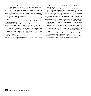- Stern, Gerd. Support of Television Arts by Public Funding: The New York State Council on the Arts. In Davis, Douglas; Simmons, Allison (eds.). *The New Television: A Public/Private Art*. MIT Press, 1978.
- Sturken, M. TV as a Creative Medium: Howard Wise and Video Art. *Afterimage*. 1984, roč. 11, č. 10.
- TURIM, M. 1996. The Image of Video in Art. In RENOV, M.; SUDERBURG, E. (eds.). *Resolutions: contemporary video practices*. Minneapolis (MN): University of Minnesota Press, 1996.
- Turim, M.; Nygren, S. Číst nástroje, psát obraz. *Iluminace*. 2006, roč. 18, č. 2.
- Vanderbeek, Stan. Culture Intercom, A Proposal and Manifesto. *Film Culture.* 1966, č. 40.
- Vojtěchovský, Miloš. *Woody Vasulka.* [Nepublikované].
- Weibel, P. Steina und Woody Vasulka: Meister des Codes. In ZKM / Center for Art and Media Karlsruhe and Siemens Kulturprogramm. Siemens-Medienkunstpreis 1995, ZKM Karlsruhe, 1995. Italský a anglický překlad Maestri del Codice = Masters of the Code. In Gazzano, M.M. (ed.). *Steina e Woody Vasulka: Video, Media e Nuove Immagini nell'Arte Contemporanea*. Katalog výstavy, Rome: Fahrenheit 451, 1995.
- Weibel, P. Vládci kódů. *Iluminace*. 2006, roč. 18, č. 2.
- Wiss, G.; Sumner, M. Articulate Tinkerers: Steina and Woody Vasulka. *Crosswinds.* Listopad 1992.
- YALKUT, Jud. 1969. TV as a Creative Medium at Howard Wise Gallery. *Arts Magazine*. Září-říjen 1969.
- Yalkut, J. *Open Circuits: The New Video Abstractionists: The Kitchen: An Image and Sound Laboratory: A Rap with Woody and Steina Vasulka, Shridhar Bapat and Dimitri Devyatkin.* [Nepublikované, 70. léta].
- Yalkut, J. 1973. *Woody and Steina Vasulka: The Vocabulary of Electronic Image*. 1973. [Nepublikované].
- Yalkut, J. 1984. *Electronic Zen: The Alternative Video Generation*. 1984. [Nepublikované. ]
- YOUNGBLOOD, Gene. 1989. Cinema and the Code. In RESCH, M.; GRANT--Ryan, P. (eds.). *Computer Art in Context: SIGGRAPH 89*. Katalog výstavy, supplement issue of Leonardo, 1989. Otištěné In Youngblood, G. Cinema and the Code = II cinema e l'immagine numerica. In Gazzano, M.M. (ed.). *Steina e Woody Vasulka: Video, Media e Nuove Immagini nell'Arte Contemporanea*. Katalog výstavy, Fahrenheit 451, Rome, 1995; Schaw, J.; Weibel, P. (eds.). *Future Cinema: The Cinematic Imagery after Film*. Cambridge (Mass): The MIT Press, 2003.
- Youngblood, G. 1992. *Video by Steina and Woody Vasulka*. Výstavní brožura. Denver: Denver Art Museum, 1992.
- Youngblood, G. 1995. *Steina Vasulka: The Electronic Sublime*. Výstavní brožura. Santa Fe (NM): Center for Contemporary Arts, 1995.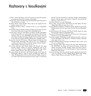### Rozhovory s Vasulkovými

- *2nd hour Woody and Steina / Interview.* [anonymní tazatel M, opatřené poznámkou in Santa Fe?, strojopis, nedatováno].
- Ausubel, Ken. Woody Vasulka: Experimenting With Visual Alternatives. *News & Review*, 11. 5. 1983.
- Blažíček, Martin. Sitney-Vasulka: Obraz videa je tak nepříjemně čistý. *Cinepur*. 2009, roč. 17, č. 61.
- *Confidential*. Rozhovor Steiny s Danem D. [?], 17. 4. 2001. [Nepublikované].
- *Conversation between Woody and Steina Vasulka, Don Foresta and Christiane Carlut*. (December 5) 1992, Paris. [Nepublikováno].
- Connor, Russ. *Interview with Woody and Steina Vasulka*. [Nepublikované]. Existují další verze rozhovor(ů) s R. Connorem: *Russ Connor Interview*. June 29, 1977. [Nepublikované]; *Russ Connor Interview with Woody Vasulka and Steina Vasulka*. New York State Council for the Arts; pro program WNET. [Nedatováno, nepublikované].
- Hagen, Ch.; Vasulka, W. A Syntax of Binary Images: An Interview with Woody Vasulka. *Afterimage*. Léto 1978, roč. 6, č. 1 & 2. Publikované v češtině pod názvem Syntax binárních obrazů: Woody Vasulka – Charles Hagen. *Iluminace*. 2006, roč. 18, č. 2.
- HILL, Chris. Interview with Woody Vasulka. The Squealer. Jaro 1995, Squeaky Wheel's Media Art Journal. Publikované také In Vasulka, W.; Weibel, P. (eds.). *Buffalo Heads: Media Study, Media Practice, Media Pioneers, 1973–1990*. The MIT Press, 2008.
- Huhtamo, Erkki. An Interview with Woody Vasulka at his Santa Fe, N.M. Studio, March 2, 1998. In CHRIST, Ronald (ed.). *Woody Vasulka: The Brotherhood: A Series of Six Interactive Media Constructions*. Tokyo: NTT InterCommunication Center, 1998. V češtině pub-

likováno pod názvem Rozhovor s Woodym Vasulkou. Překlad Jakub Kučera. 2. března 1998, v jeho ateliéru v Santa Fe v Novém Mexiku. *Iluminace*. 2006, roč. 18, č. 2.

- *Interviews with Jon*. 24. 7. 1977. [Strojopis].
- Reilly, John. A Conversation with Woody and John Reilly. *The East Village Other*. Říjen 27, 1970, roč. 5, č. 48.
- Sumner, Melody. *Installations & Matrixes: Steina Vasulka Interviewed by Melody Sumner.* Prosinec 1992, Santa Fe (New Mexico). [Nepublikované].
- Sumner-Carnahan, M. *Interview with Woody Vasulka*. August 29, 1995, Santa Fe (New Mexico). [Nepublikované].
- Vasulka, W.; Steina; Burris, J.; Polidori, R.; Sutcliffe, J. *Conversation*. Nahráno 16. 10. 1977. [Nepublikované].
- Vencálek, Ladislav. Potřebujeme umění, abychom neuvízli v pasti současného digitálního světa: Rozhovor s Woodym Vasulkou. *Svobodné slovo*. 1995, roč. 87, č. 132.
- Virtuální houbaření Steiny a Woodyho Vasulkových. *Film a doba*. 2006, roč. 52, č. 4, Praha: Orbis.
- Yalkut, Jud. *Part Three: Open Circuits: The New Video Abstractionists: The KITCHEN: An Image and Sound Laboratory: A Rap with Woody and Steina Vasulka, Shridhar Bapat and Dmitri Devyatkin*. 1973. [online]. [cit. 21. 6. 2011]. Přístupné na <http://vasulka.org/ Kitchen/K\_Essays.html>.
- Youngblood, Gene. Interview with the Vasulkas. [počátek 80. let]. In VAsulka, W.; Weibel, P. (eds.). *Buffalo Heads: Media Study, Media Practice, Media Pioneers, 1973–1990*. The MIT Press, 2008.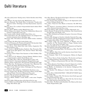### Další literatura

- *Akce slovo pohyb prostor*. Katalog výstavy. Galerie hlavního města Prahy, 1999.
- Amos, Martyn. *Na úsvitu živých strojů*. Mladá Fronta, 2007.
- BELLOUR, Raymond. The Double Helix. In DRUCKREY Timothy (ed.). *Electronic Culture: Technology and Visual Representation*. Aperture, 1996.
- Bergson, Henri. *Čas a svoboda: O bezprostředních datech vědomí*. FILO-SOFIA, 1994.
- Bergson, Henri. *Myšlení a pohyb*. Mladá Fronta, 2003.
- Bijvoet, Marga. *Art as Inquiry: Toward New Collaborations Between Art & Science.* Oxford: Peter Lang, 1997.
- Bioy Casares, Adolfo. *Morelův vynález*. Julius Zirkus, 2002.
- BOHM, David; HILEY, B.J. The Undivided Universe: An ontological inter*pretation of quantum theory*. Routledge, 1993.
- Brockman, John. *Třetí kultura: Za hranice vědecké revoluce.* Academia, 2008.
- Capra, Fritjof. *The Web of Life*. Anchor Books, 1997.
- Coveney, P.; Highfield, R. *Frontiers of Complexity: The Search for Order in a Chaotic World.* Fawcett Columbine, 2005.
- Cramer, Florian. *Words Made Flesh: Code, Culture, Imagination*. Piet Zwart Institute, 2005.
- Crespy, David A. *Off-Off Broadway Explosion: How Provocative Playwrights of the 1960s Ignited a New American Theater*. Back Stage Books, 2003.
- Crutchfield, James P. Space-Time Dynamics in Video Feedback. *Physica*. 1984.
- Čapek, Karel. *R. U. R. (Rossum's Universal Robots): Kolektivní drama o vstupní komedii a 3 aktech*. Štorch-Marien, 1920.
- Deleuze, Gilles. *Film 2: Obraz-čas*. Národní filmový archiv, 2006.
- Dennet, Daniel C. *Consciousness Explained*. Penguin Books, 1993.
- Derrida, Jacques. *Archive Fever*. The University of Chicago Press, 1996.
- Doane, Mary Ann. *The Emergence of Cinematic Time: Modernity, Contingency, the Archive.* Harvard University Press, 2002.
- Druckrey, T. (ed.). *Electronic Culture: Technology and Visual Representation*. New York, 1996.
- Eco, Umberto. *Meze interpretace.* Nakladatelství Karolinum, 2005.
- Flaxman, Gregory (ed.). *The Brain Is the Screen: Deleuze and the Philosophy of Cinema*. University of Minnesota Press, 2000.
- Flusser, Vilém. *Do univerza technických obrazů*. OSVU, 2002.
- Flusser, V. *Za filozofii fotografie*. Hynek, 1994.
- Foucault, Michel. *Dohlížet a trestat: Kniha o zrodu vězení*. Dauphin, 2000.
- Frampton, Hollis. *Withering Away of the State of the Art.* 1974.
- Geertz, Clifford. *Local Knowledge: Further Essays in Interpretive Anthropology*. Basic Books, 1985.
- Gell-Man, Murray. *The Quark and the Jaguar: Adventures in the Simple and the Complex*. Owl Books, 2002.
- GOFFMAN, Erving. Frame Analysis: An Essay on the Organization of Ex*perience.* Peregrine Books, 1975.
- Grau, Oliver. *Virtual Art: From Illusion to Immersion.* The MIT Press, 2003.
- Hankins, Thomas L.; Silverman, Robert J. *Instruments and the Imagination.* Princeton University Press, 2005.
- Heidegger, Martin. *Věda, technika a zamyšlení*. Oikoymenh, 2004.
- Joseph, Branden W. *Beyond the Dream Syndicate: Tony Conrad and the Arts after Cage*. Zone Books, 2008.
- Julesz, Béla. *Foundations of Cyclopean Perception*. University of Chicago Press, 1971.
- Kristeva, Julia. *Strangers to Ourselves*. Columbia University Press, 1991.
- Lacan, Jacques. *The Four Fundamental Concepts of Psycho-Analysis*. Ed. by Jacques-Allain Miller. W.W. Norton & Co., 1978.
- *Milan Grygar: image and sound*. Collection of Modern and Contemporary Art The National Gallery in Prague. Katalog výstavy, 14. 9.–28. 11. 1999. Gema Art Gallery, 1999.
- Maturana, Humberto R.; Varela, Francisco J. *Autopoiesis and Cognition: The realisation of the living*. D. Reidel, 1980.
- Mcluhan, M. *Understanding Media*: *The Extensions of Man*. The MIT Press, 1004.
- Nichols, Bill (ed.). *Maya Deren and the American Avant-Garde.* University of California Press, 2001.
- Parfait, Françoise. *Video: Un Art Contemporain.* Editions du Regard, 2001.
- Pinch, Trevor; Trocco, Frank. *Analog Days: The Invention and Impact of the Moog Synthesizer*. Harvard University Press, 2002.
- Rees, A. L. *A History of Experimental Film and Video.* bfi Publishing, 2000.
- Rees, Tobias; Rabinow, Paul; Marcus, Georg E. *Designs for an Anthropology of The Contemporary*. Duke University Press, 2008.
- Renan, Sheldon. *An Introduction to the American Underground Film.* E. P. Dutton, 1967.
- Roszak, Theodore. *The Making of a Counter Culture.* Anchor Books, 1969.
- Schilling, Alfons. *ICH/AUGE/WELT THE ART OF VISION*. Springer-Verlag, 1997.
- Sitney, P. Adams. *Visionary Film: The American Avant-Garde 1943–1978.* Oxford University Press, 1979.
- Taylor, Marvin J. (ed.). *The Downtown Book: The New York Art Scene 1974–1984*. Princeton University Press, 2006.
- Tomkins, Calvin. *The Bride and the Bachelors: Five Masters of the Avant- -Garde.* Penguin Books, 1968.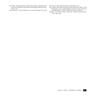Veil, Mark. *Vintage Synthesizers: Pioneering Designers: Groundbreaking Instruments: Collecting Tips: Mutants of Technology*. Miller Freeman Books, 2000.

Yates, Frances A. *The Art of Memory*. University of Chicago Press, 1966.

Youngblood, Gene. *Expanded Cinema*. E. P. Dutton, 1970.

- Yuill, Simon. *All Problems of Notation will be Solved by the Masses*. 2008. [online]. [cit. 2009–17–09]. Přístupné na <http://www.metamute.org/ en/All-Problems-of-Notation-Will-be-Solved-by-the-Masses>.
- Zemánek, Jiří. *Zdeněk Pešánek 1896–1965*. Katalog Národní galerie v Praze, 1996–1997.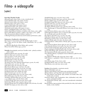# Filmo- a videografie

### (výběr)

#### **Rané filmy Woodyho Vasulky**

*Zdymadla* (1960, němý, 16mm, 10 min., nezachovalo se) *Ve dvě odpoledne* (1961, zvuk, 35mm, 16 min.) *Záchytná stanice* (1963, zvuk, 35mm, 7 min.) *Předměstí* (1964, zvuk, 35mm, 11 min.) *U pana Čapka* (1964, zvuk, 35mm, 6 min.) *Odjezd branců* (1962, zvuk, 35mm, 6 min.) *Velrybářská stanice* (1964, zvuk, 35mm, 10 min.) *Sezóna v Seydisfjordu* (1964, zvuk, 35mm, 12 min.) *Aimless People* (filmová instalace, 3–5 pláten, zvuk, 16mm, 4 min., 1968) *Peril in Orbit* (filmová instalace, 3 plátna, zvuk, 16mm, 4 min., 1968) *Three Documentaries* (filmová instalace, 3 plátna, ?) *A Meeting/Greeting* (nerealizovaný návrh instalace-performance, 1967)

#### **Dokumenty o Vasulkových a videorozhovory**

*Russ Connor in Conversation with The Vasulkas* (1978, 22 min.) *About Video and the Arts* (Rene Coelho, MonteVideo, Oct. 31, 1985, 27 min.) *42 Miles from Big Brother* (Peter Rubin, 1987, 35 min.)

*Binary Lives* (Peter Kirby, 1997, 43 min.)

**Videodíla** (chronologicky, autoři jsou Vasulkovi nebo – pokud je uvedeno – jeden z nich) *Calligrams* (březen 1970, 3:30 min., čb, zvuk) *Decay #1* (říjen 1970, 1:57 min., barva, zvuk) *Decay #2* (1970, 1:11 min., barva, zvuk) *Discs* (březen 1970, 5:24 min., čb, zvuk) *Evolution* (1970, 16 min., čb, zvuk) *Sketches* (1970, 24:14 min., čb, zvuk) *The Jackie Curtis' First Television Special* (1970, 45 min., čb, zvuk) *Tissues* (říjen 1970, 1:31 min., čb, zvuk) *Violin Power* (1970–78, 10:04 min., čb, zvuk) *Black Sunrise* (březen 1971, 21:08 min., čb, zvuk) *Participation 1969–1971* (1971, 62:30 min., čb, zvuk) *Distant Activities* (květen 1972, 6 min., barva, zvuk) *Soundprints* (srpen 1972, smyčka, čb, zvuk) *Spaces II* (srpen 1972, 7:50 min., čb, zvuk) *Golden Voyage* (duben 1973, 14:12 min., barva, zvuk) *Home* (leden 1973, 16:47 min., barva, zvuk) *Vocabulary* (Woody, duben 1973, 4:17 min., barva, zvuk) *1–2-3–4* (březen 1974, 7:46 min., barva, zvuk) *C-Trend* (Woody, říjen 1974, 9:03 min., barva, zvuk) *Explanation* (Woody, 1974, 11:45 min., barva, zvuk) *Grazing* (Woody 1974–76, zvuk Brian O'Reilly 2006, 8:18 min., čb, zvuk) *Heraldic View* (1974, 4:21 min., barva, zvuk)

*Noisefields* (leden 1974, 12:05 min., barva, zvuk) *Reminiscence* (Woody, srpen 1974, 4:48 min., barva, zvuk) *Solo for 3* (duben 1974, 4:15 min., barva, zvuk) *Soundgated Images* (léto 1974, 9:22 min., barva, zvuk) *Soundsize* (září 1974, 4:40 min., barva, zvuk) *Telč* (srpen 1974, 5:10 min., barva, zvuk) *The Matter* (Woody, prosinec 1974, 3:56 min., barva, zvuk) *From Cheektowaga to Tonawanda* (Steina, červen 1975, 36 min., barva, zvuk) *Land of Timoteus* (Steina, 1975, 15 min., čb, zvuk) *Orbital Obsessions* (Steina, 1975–77, upravené 1988, 24:25 min., čb, zvuk) *No. 25* (Woody, 1976, 5:30 min., čb, zvuk) *Flux* (Steina, November 1977, 7:25 min., čb, zvuk) *Violin Power* (Steina, 1970–78, 10:04 min., čb, zvuk) *Bad* (Steina, prosinec 1979, 2:14 min., barva, zvuk) *Artifacts* (Woody, 1980, 21:20 min., čb a barva, zvuk) *Cantaloup* (Steina + Jeffrey Schier a Woody, 1980, 27:54 min., čb a barva, zvuk) *Selected Treecuts* (Steina, březen 1980, 8:11 min., barva, zvuk) *Urban Episodes* (Steina, červen 1980, 8:50 min., barva, zvuk) *In Search of the Castle* (únor 1981, 9:29 min., barva, zvuk) *Progeny* (spolupráce Bradford Smith, 1981, 18:28 min., barva, zvuk) *Summer Salt (Steina,* 1982, 18:48 min., barva, zvuk) *The Commission* (Woody, 1983, 44:55 min., barva, zvuk) *Voice Windows* (Steina, ve spolupráci s Joan La Barbarou, 1986, 8:10 min., barva, zvuk) *Art of Memory* (Woody, 1987, 36:34 min., barva, zvuk) *Lilith* (Steina, ve spolupráci s Doris Crossovou, 1987, 9:12 min., barva, zvuk) *Orka* (Steina, 1995, 16 min., barva, zvuk) *Pyroglyphs* (Steina, 1995, 27:20 min., barva, zvuk) *Warp* (Steina, 2000, 4:30 min., barva, zvuk)

**Instalace** (chronologicky, s označením autorů) *Matrix II* (Vasulkovi, 1970–72) *Machine Vision* (Steina, 1978, elektro-opto-mechanické prostředí) *Allvision* (Steina, 1976–83, elektro-opto-mechanické prostředí) *The West* (Steina, zvuk Woody, 1983, instalace, dva kanály video, čtyři kanály zvuk, 30 minut) *Geomania* (Steina, 1987, dvoukanálové video, čtyřkanálový zvuk, video

matrix, 15minutová smyčka) *The Brotherhood* (Woody, 1989–, série šesti interaktivních robotických instalací)

*Borealis* (Steina, 1993, promítané video prostředí, dva video, čtyři zvukové kanály, 10 min., smyčka)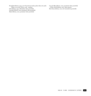*Pyroglyphs* (Steina, 1995, 15 či 18 monitorů v kruhu, jeden video, dva audio

*Lava & Moss* (Steina, 2000, promítané video prostředí) *... Of the North* (Steina, 2001, video matrix) *Bent Scans* (Steina, 2002, živé interaktivní prostředí)

zdroje, 27:20 min., barva, zvuk – smyčka) *Orka* (Steina, 1997, tříkanálové video prostředí) *Cascades* (Steina, 2000, promítané video prostředí)

*Mynd* (Steina, 2000, promítané video prostředí)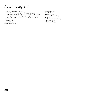## Autoři fotografií

archiv rodiny Vašulkových 45, 46, 48

archiv Vasulkových 9, 10, 13, 15, 24, 26, 27, 3032, 34, 37, 38, 40, 41, 4648, 5155, 5759, 62, 6769, 7274, 83, 86, 90, 91, 97, 99, 104, 107, 108, 114120, 122, 123, 125, 128130, 134, 137, 138, 141, 146, 149151, 153155, 158, 161, 163, 164, 168, 170, 173, 175, 176, 183, 185, 191 Cook, Mariannah 180

Dolanová, Lenka 11

Herald, N. Z. 167

Jepson, Warner 2023

Kobel, Cynthia 152 Noble, Kevin 181 Philip, M. 14, 48 Schlesinger, Jennifer F. 169 turista 156 Vasulka, Woody 47, 49, 85, 157 Veeder, Jane 85, 124 Welsh, Dan 158, 159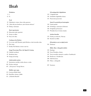# Obsah

#### **Předmluva**

- I.
- II.

#### **Úvod**

- Vykloubení z rámce: obraz video generace
- 29 "Naše těla jsou hardware, naše chování software"
- Dialog s nástrojem

#### **Rané experimenty**

- Moravsko-české vyprávění
- Stroje na vidění
- Nový svět videa

#### **Cooking in the Kitchen**

- Co to tam vařili? Kuchaři, jejich Kitchen a chuť čerstvého videa
- Živé video
- Kritiky The Kitchen a konec rané éry

#### **Image Processing: Wave, the Signal Is Coming**

- Cyklické nevědomí
- Rozšířený obraz
- Image processing

#### **Audiovizuální syntéza**

- Syntezátory: počátky vztahu obrazu a zvuku
- Evoluce nástrojů
- 107 "Tool person" George Brown

#### **Buffalo: 1973–1979**

- Centrum Media Study
- Rutt/Etra: obrazy z řádků
- 121 "Praktická filozofie"

#### **Od analogového k digitálnímu**

- V digitální kůži
- Artikulátor digitálního obrazu
- Pozorování pozorování

#### **Santa Fe: prostředí pro kontemplaci**

- Umění paměti
- Od dialogu s nástrojem k *Bratrství*
- K digitální performanci
- Woodyho herci: k živým strojům

#### **Archivní horečka**

- Touha po archivech / Návraty
- Kurátoři na dálku

#### **(Poznámky na asi ne úplný) závěr**

Záchrana

#### **Biblio- filmo- videografie (výběr)**

- Katalogy
- Texty Woodyho a Steiny
- Texty teoretiků, inženýrů a umělců o Vasulkových
- Rozhovory s Vasulkovými
- Další literatura
- Filmo- a videografie
- Summary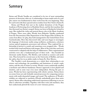### Summary

Steina and Woody Vasulka are considered to be two of most outstanding pioneers of electronic video art. A relationship to home-made tools of a complex nature was fundamental to their work from the very beginning. They live and work with these special tools in studios from New York to Santa Fe.

Steina and Woody first met in the student dormitory of the Prague Academy of Performing Arts in Hradební Street, and the first machine that they discussed was Steina's moped. Steina was born in Reykjavik, Iceland in 1940. She studied the violin and musical theory, also at the Music Academy in Prague. Three years older, Woody, born Bohuslav Vašulka, graduated from the Documentary Film Department of the Prague Film Academy; he comes from Brno. In 1965, they both immigrated to the United States from Czechoslovakia. Here they discovered video and soon began to investigate the language of electronic media using oscillators, synthesizers, colorizers various optical equipment, processors and software. They explored the relationship of picture to sound, and sometimes even swapped roles – Woody worked with sound and Steina with images. Most of the tools they used were constructed or adapted with the help of collaborators. Their organizational activities were also a fundamental part of their work – they founded an electronic media theatre, *The Kitchen*, and worked as curators and archivists. They lectured for several years at the University of Buffalo, and since the 1980s, they live in an adobe studio in Santa Fe, New Mexico.

The Vasulka's work demonstrates as a whole their relationship to art, science and technology, the possibilities and limitations of artistic exploration, and the role of artists in society. Woody is more analytically minded, a mechanic and collector-handyman. Steina's approach is more playful and intuitive, and in some ways even more independent. During the past 20 years, Woody has been experimenting with robotic systems. Steina draws on scenes from not only Icelandic natural processes for composing environments with multi-channeled images and sound. The audiences of Woody's exhibits are subjected to machines (Woody undoubtedly gives them more space). Steina offers absorbing audiovisual experiences (allowing to you see what is otherwise invisible). Together with their tools and machines, they have audaciously plowed the waves of a new visionary poetics.